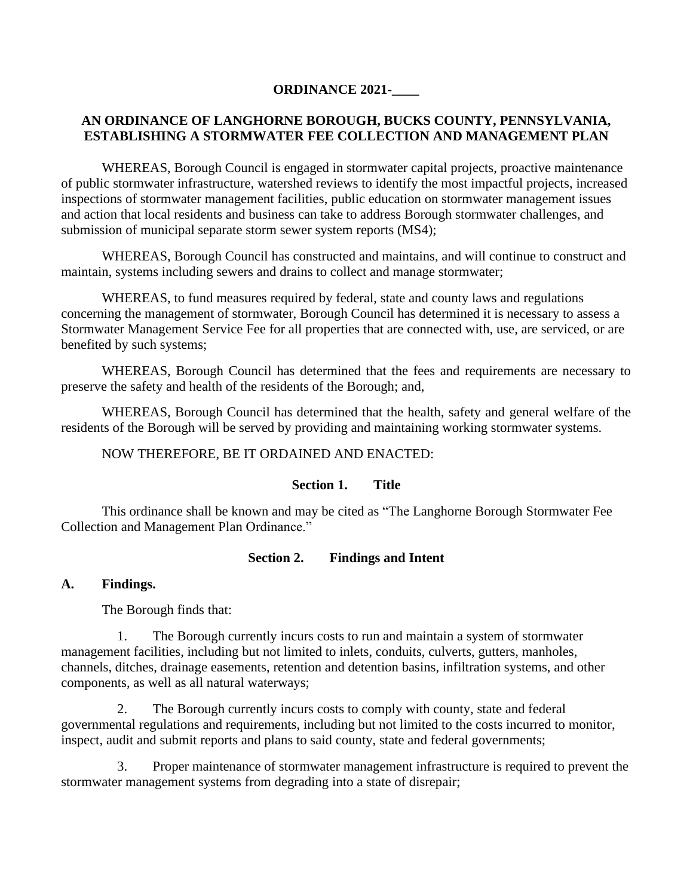# **ORDINANCE 2021-\_\_\_\_**

# **AN ORDINANCE OF LANGHORNE BOROUGH, BUCKS COUNTY, PENNSYLVANIA, ESTABLISHING A STORMWATER FEE COLLECTION AND MANAGEMENT PLAN**

WHEREAS, Borough Council is engaged in stormwater capital projects, proactive maintenance of public stormwater infrastructure, watershed reviews to identify the most impactful projects, increased inspections of stormwater management facilities, public education on stormwater management issues and action that local residents and business can take to address Borough stormwater challenges, and submission of municipal separate storm sewer system reports (MS4);

WHEREAS, Borough Council has constructed and maintains, and will continue to construct and maintain, systems including sewers and drains to collect and manage stormwater;

WHEREAS, to fund measures required by federal, state and county laws and regulations concerning the management of stormwater, Borough Council has determined it is necessary to assess a Stormwater Management Service Fee for all properties that are connected with, use, are serviced, or are benefited by such systems;

WHEREAS, Borough Council has determined that the fees and requirements are necessary to preserve the safety and health of the residents of the Borough; and,

WHEREAS, Borough Council has determined that the health, safety and general welfare of the residents of the Borough will be served by providing and maintaining working stormwater systems.

NOW THEREFORE, BE IT ORDAINED AND ENACTED:

## **Section 1. Title**

This ordinance shall be known and may be cited as "The Langhorne Borough Stormwater Fee Collection and Management Plan Ordinance."

## **Section 2. Findings and Intent**

## **A. Findings.**

The Borough finds that:

1. The Borough currently incurs costs to run and maintain a system of stormwater management facilities, including but not limited to inlets, conduits, culverts, gutters, manholes, channels, ditches, drainage easements, retention and detention basins, infiltration systems, and other components, as well as all natural waterways;

2. The Borough currently incurs costs to comply with county, state and federal governmental regulations and requirements, including but not limited to the costs incurred to monitor, inspect, audit and submit reports and plans to said county, state and federal governments;

3. Proper maintenance of stormwater management infrastructure is required to prevent the stormwater management systems from degrading into a state of disrepair;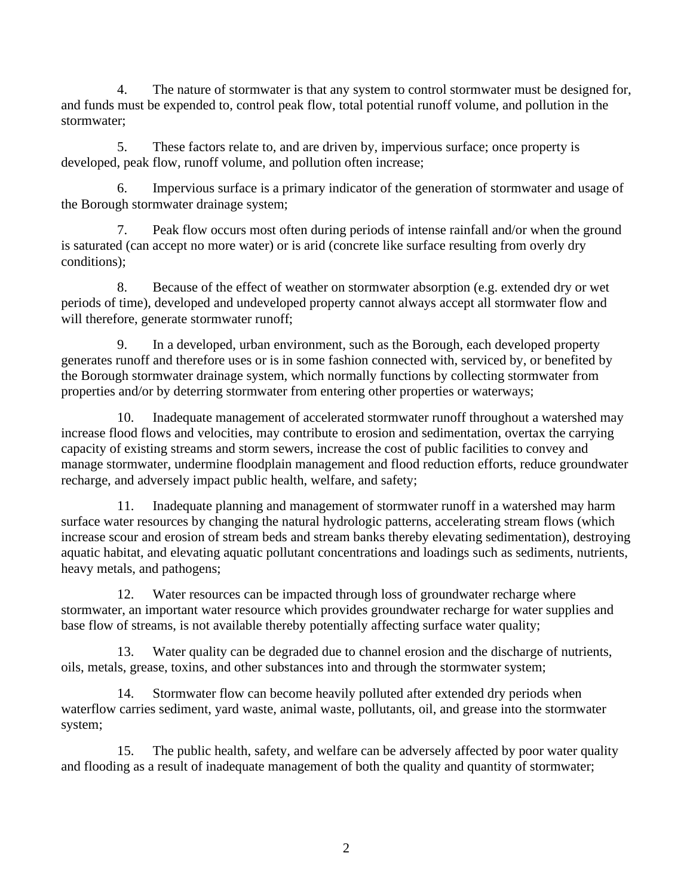4. The nature of stormwater is that any system to control stormwater must be designed for, and funds must be expended to, control peak flow, total potential runoff volume, and pollution in the stormwater;

5. These factors relate to, and are driven by, impervious surface; once property is developed, peak flow, runoff volume, and pollution often increase;

6. Impervious surface is a primary indicator of the generation of stormwater and usage of the Borough stormwater drainage system;

7. Peak flow occurs most often during periods of intense rainfall and/or when the ground is saturated (can accept no more water) or is arid (concrete like surface resulting from overly dry conditions);

8. Because of the effect of weather on stormwater absorption (e.g. extended dry or wet periods of time), developed and undeveloped property cannot always accept all stormwater flow and will therefore, generate stormwater runoff:

9. In a developed, urban environment, such as the Borough, each developed property generates runoff and therefore uses or is in some fashion connected with, serviced by, or benefited by the Borough stormwater drainage system, which normally functions by collecting stormwater from properties and/or by deterring stormwater from entering other properties or waterways;

10. Inadequate management of accelerated stormwater runoff throughout a watershed may increase flood flows and velocities, may contribute to erosion and sedimentation, overtax the carrying capacity of existing streams and storm sewers, increase the cost of public facilities to convey and manage stormwater, undermine floodplain management and flood reduction efforts, reduce groundwater recharge, and adversely impact public health, welfare, and safety;

11. Inadequate planning and management of stormwater runoff in a watershed may harm surface water resources by changing the natural hydrologic patterns, accelerating stream flows (which increase scour and erosion of stream beds and stream banks thereby elevating sedimentation), destroying aquatic habitat, and elevating aquatic pollutant concentrations and loadings such as sediments, nutrients, heavy metals, and pathogens;

12. Water resources can be impacted through loss of groundwater recharge where stormwater, an important water resource which provides groundwater recharge for water supplies and base flow of streams, is not available thereby potentially affecting surface water quality;

13. Water quality can be degraded due to channel erosion and the discharge of nutrients, oils, metals, grease, toxins, and other substances into and through the stormwater system;

14. Stormwater flow can become heavily polluted after extended dry periods when waterflow carries sediment, yard waste, animal waste, pollutants, oil, and grease into the stormwater system;

15. The public health, safety, and welfare can be adversely affected by poor water quality and flooding as a result of inadequate management of both the quality and quantity of stormwater;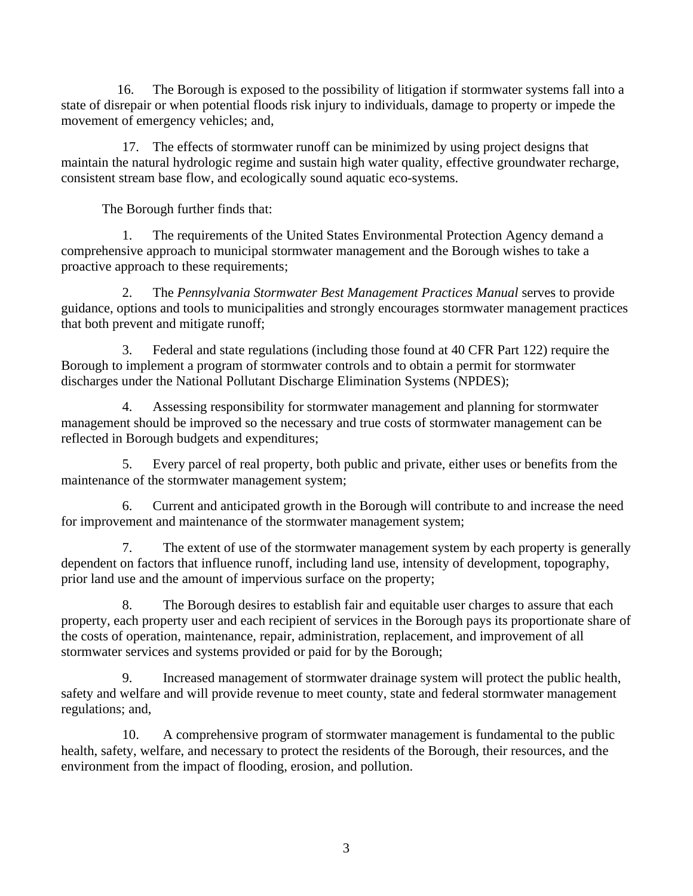16. The Borough is exposed to the possibility of litigation if stormwater systems fall into a state of disrepair or when potential floods risk injury to individuals, damage to property or impede the movement of emergency vehicles; and,

17. The effects of stormwater runoff can be minimized by using project designs that maintain the natural hydrologic regime and sustain high water quality, effective groundwater recharge, consistent stream base flow, and ecologically sound aquatic eco-systems.

The Borough further finds that:

1. The requirements of the United States Environmental Protection Agency demand a comprehensive approach to municipal stormwater management and the Borough wishes to take a proactive approach to these requirements;

2. The *Pennsylvania Stormwater Best Management Practices Manual* serves to provide guidance, options and tools to municipalities and strongly encourages stormwater management practices that both prevent and mitigate runoff;

3. Federal and state regulations (including those found at 40 CFR Part 122) require the Borough to implement a program of stormwater controls and to obtain a permit for stormwater discharges under the National Pollutant Discharge Elimination Systems (NPDES);

4. Assessing responsibility for stormwater management and planning for stormwater management should be improved so the necessary and true costs of stormwater management can be reflected in Borough budgets and expenditures;

5. Every parcel of real property, both public and private, either uses or benefits from the maintenance of the stormwater management system;

6. Current and anticipated growth in the Borough will contribute to and increase the need for improvement and maintenance of the stormwater management system;

7. The extent of use of the stormwater management system by each property is generally dependent on factors that influence runoff, including land use, intensity of development, topography, prior land use and the amount of impervious surface on the property;

8. The Borough desires to establish fair and equitable user charges to assure that each property, each property user and each recipient of services in the Borough pays its proportionate share of the costs of operation, maintenance, repair, administration, replacement, and improvement of all stormwater services and systems provided or paid for by the Borough;

9. Increased management of stormwater drainage system will protect the public health, safety and welfare and will provide revenue to meet county, state and federal stormwater management regulations; and,

10. A comprehensive program of stormwater management is fundamental to the public health, safety, welfare, and necessary to protect the residents of the Borough, their resources, and the environment from the impact of flooding, erosion, and pollution.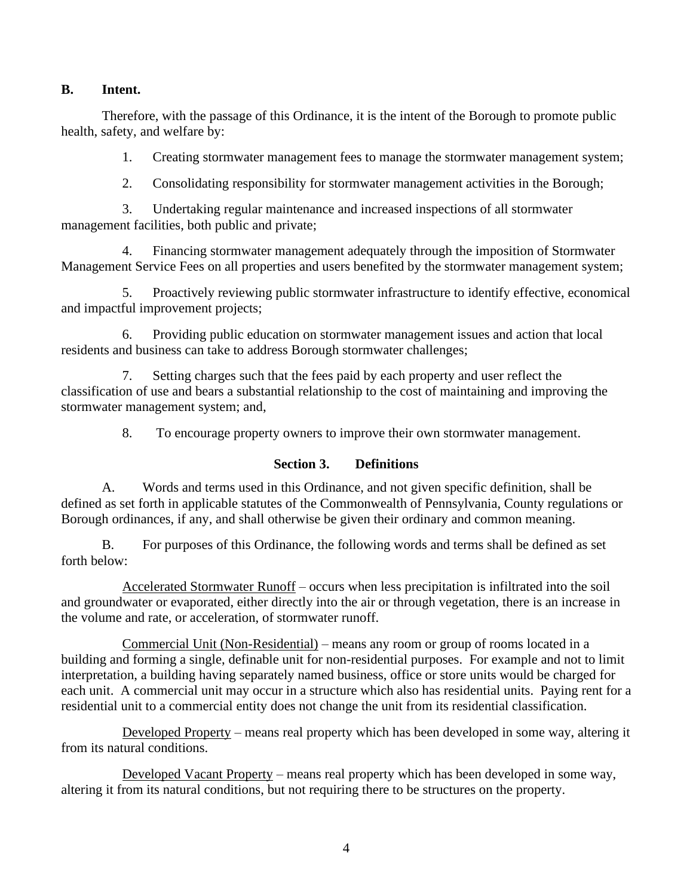## **B. Intent.**

Therefore, with the passage of this Ordinance, it is the intent of the Borough to promote public health, safety, and welfare by:

1. Creating stormwater management fees to manage the stormwater management system;

2. Consolidating responsibility for stormwater management activities in the Borough;

3. Undertaking regular maintenance and increased inspections of all stormwater management facilities, both public and private;

4. Financing stormwater management adequately through the imposition of Stormwater Management Service Fees on all properties and users benefited by the stormwater management system;

5. Proactively reviewing public stormwater infrastructure to identify effective, economical and impactful improvement projects;

6. Providing public education on stormwater management issues and action that local residents and business can take to address Borough stormwater challenges;

7. Setting charges such that the fees paid by each property and user reflect the classification of use and bears a substantial relationship to the cost of maintaining and improving the stormwater management system; and,

8. To encourage property owners to improve their own stormwater management.

# **Section 3. Definitions**

A. Words and terms used in this Ordinance, and not given specific definition, shall be defined as set forth in applicable statutes of the Commonwealth of Pennsylvania, County regulations or Borough ordinances, if any, and shall otherwise be given their ordinary and common meaning.

B. For purposes of this Ordinance, the following words and terms shall be defined as set forth below:

Accelerated Stormwater Runoff – occurs when less precipitation is infiltrated into the soil and groundwater or evaporated, either directly into the air or through vegetation, there is an increase in the volume and rate, or acceleration, of stormwater runoff.

Commercial Unit (Non-Residential) – means any room or group of rooms located in a building and forming a single, definable unit for non-residential purposes. For example and not to limit interpretation, a building having separately named business, office or store units would be charged for each unit. A commercial unit may occur in a structure which also has residential units. Paying rent for a residential unit to a commercial entity does not change the unit from its residential classification.

Developed Property – means real property which has been developed in some way, altering it from its natural conditions.

Developed Vacant Property – means real property which has been developed in some way, altering it from its natural conditions, but not requiring there to be structures on the property.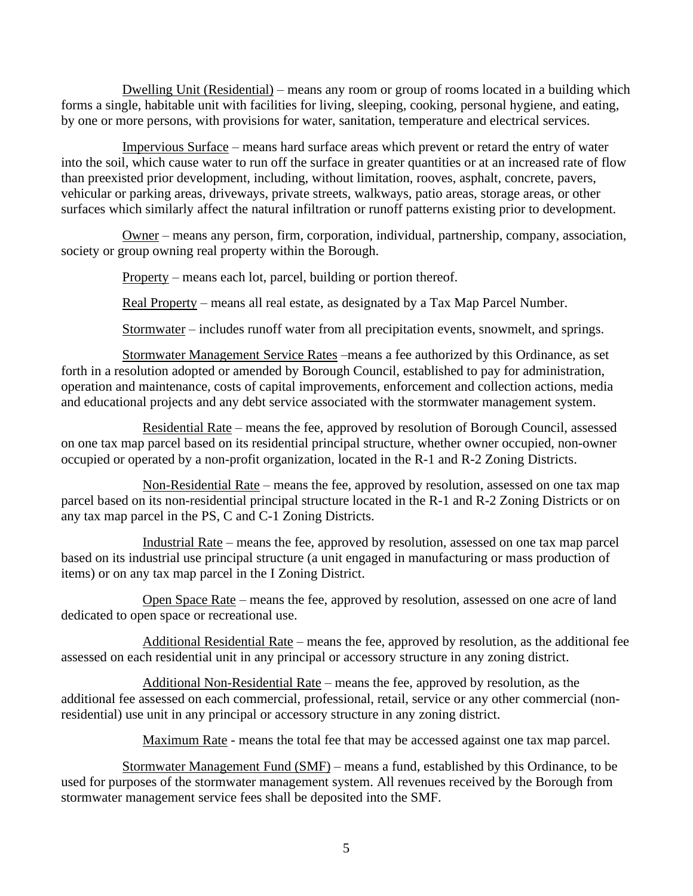Dwelling Unit (Residential) – means any room or group of rooms located in a building which forms a single, habitable unit with facilities for living, sleeping, cooking, personal hygiene, and eating, by one or more persons, with provisions for water, sanitation, temperature and electrical services.

Impervious Surface – means hard surface areas which prevent or retard the entry of water into the soil, which cause water to run off the surface in greater quantities or at an increased rate of flow than preexisted prior development, including, without limitation, rooves, asphalt, concrete, pavers, vehicular or parking areas, driveways, private streets, walkways, patio areas, storage areas, or other surfaces which similarly affect the natural infiltration or runoff patterns existing prior to development.

Owner – means any person, firm, corporation, individual, partnership, company, association, society or group owning real property within the Borough.

Property – means each lot, parcel, building or portion thereof.

Real Property – means all real estate, as designated by a Tax Map Parcel Number.

Stormwater – includes runoff water from all precipitation events, snowmelt, and springs.

Stormwater Management Service Rates –means a fee authorized by this Ordinance, as set forth in a resolution adopted or amended by Borough Council, established to pay for administration, operation and maintenance, costs of capital improvements, enforcement and collection actions, media and educational projects and any debt service associated with the stormwater management system.

Residential Rate – means the fee, approved by resolution of Borough Council, assessed on one tax map parcel based on its residential principal structure, whether owner occupied, non-owner occupied or operated by a non-profit organization, located in the R-1 and R-2 Zoning Districts.

Non-Residential Rate – means the fee, approved by resolution, assessed on one tax map parcel based on its non-residential principal structure located in the R-1 and R-2 Zoning Districts or on any tax map parcel in the PS, C and C-1 Zoning Districts.

Industrial Rate – means the fee, approved by resolution, assessed on one tax map parcel based on its industrial use principal structure (a unit engaged in manufacturing or mass production of items) or on any tax map parcel in the I Zoning District.

Open Space Rate – means the fee, approved by resolution, assessed on one acre of land dedicated to open space or recreational use.

Additional Residential Rate – means the fee, approved by resolution, as the additional fee assessed on each residential unit in any principal or accessory structure in any zoning district.

Additional Non-Residential Rate – means the fee, approved by resolution, as the additional fee assessed on each commercial, professional, retail, service or any other commercial (nonresidential) use unit in any principal or accessory structure in any zoning district.

Maximum Rate - means the total fee that may be accessed against one tax map parcel.

Stormwater Management Fund (SMF) – means a fund, established by this Ordinance, to be used for purposes of the stormwater management system. All revenues received by the Borough from stormwater management service fees shall be deposited into the SMF.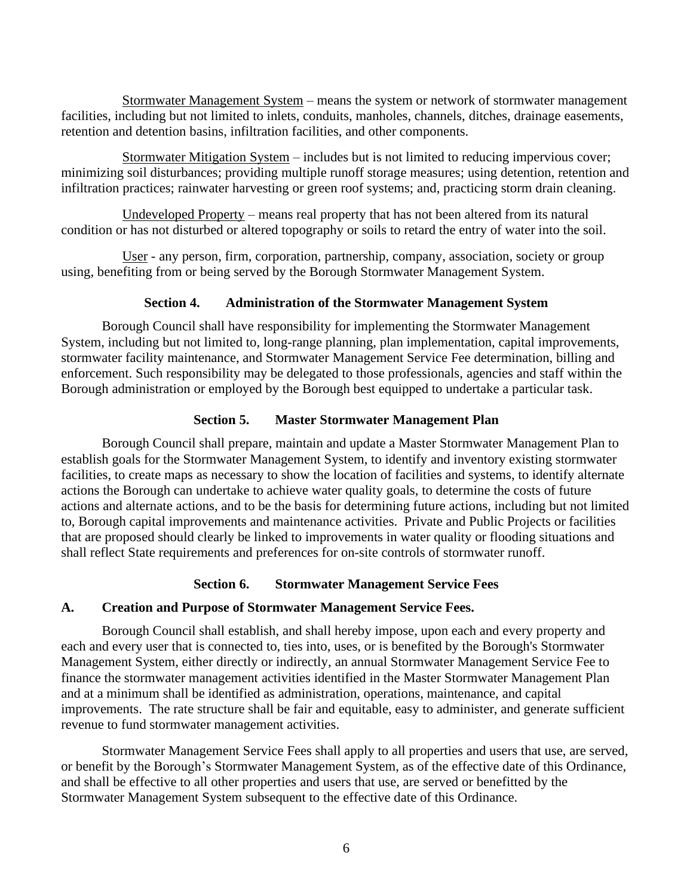Stormwater Management System – means the system or network of stormwater management facilities, including but not limited to inlets, conduits, manholes, channels, ditches, drainage easements, retention and detention basins, infiltration facilities, and other components.

Stormwater Mitigation System – includes but is not limited to reducing impervious cover; minimizing soil disturbances; providing multiple runoff storage measures; using detention, retention and infiltration practices; rainwater harvesting or green roof systems; and, practicing storm drain cleaning.

Undeveloped Property – means real property that has not been altered from its natural condition or has not disturbed or altered topography or soils to retard the entry of water into the soil.

User - any person, firm, corporation, partnership, company, association, society or group using, benefiting from or being served by the Borough Stormwater Management System.

## **Section 4. Administration of the Stormwater Management System**

Borough Council shall have responsibility for implementing the Stormwater Management System, including but not limited to, long-range planning, plan implementation, capital improvements, stormwater facility maintenance, and Stormwater Management Service Fee determination, billing and enforcement. Such responsibility may be delegated to those professionals, agencies and staff within the Borough administration or employed by the Borough best equipped to undertake a particular task.

# **Section 5. Master Stormwater Management Plan**

Borough Council shall prepare, maintain and update a Master Stormwater Management Plan to establish goals for the Stormwater Management System, to identify and inventory existing stormwater facilities, to create maps as necessary to show the location of facilities and systems, to identify alternate actions the Borough can undertake to achieve water quality goals, to determine the costs of future actions and alternate actions, and to be the basis for determining future actions, including but not limited to, Borough capital improvements and maintenance activities. Private and Public Projects or facilities that are proposed should clearly be linked to improvements in water quality or flooding situations and shall reflect State requirements and preferences for on-site controls of stormwater runoff.

## **Section 6. Stormwater Management Service Fees**

## **A. Creation and Purpose of Stormwater Management Service Fees.**

Borough Council shall establish, and shall hereby impose, upon each and every property and each and every user that is connected to, ties into, uses, or is benefited by the Borough's Stormwater Management System, either directly or indirectly, an annual Stormwater Management Service Fee to finance the stormwater management activities identified in the Master Stormwater Management Plan and at a minimum shall be identified as administration, operations, maintenance, and capital improvements. The rate structure shall be fair and equitable, easy to administer, and generate sufficient revenue to fund stormwater management activities.

Stormwater Management Service Fees shall apply to all properties and users that use, are served, or benefit by the Borough's Stormwater Management System, as of the effective date of this Ordinance, and shall be effective to all other properties and users that use, are served or benefitted by the Stormwater Management System subsequent to the effective date of this Ordinance.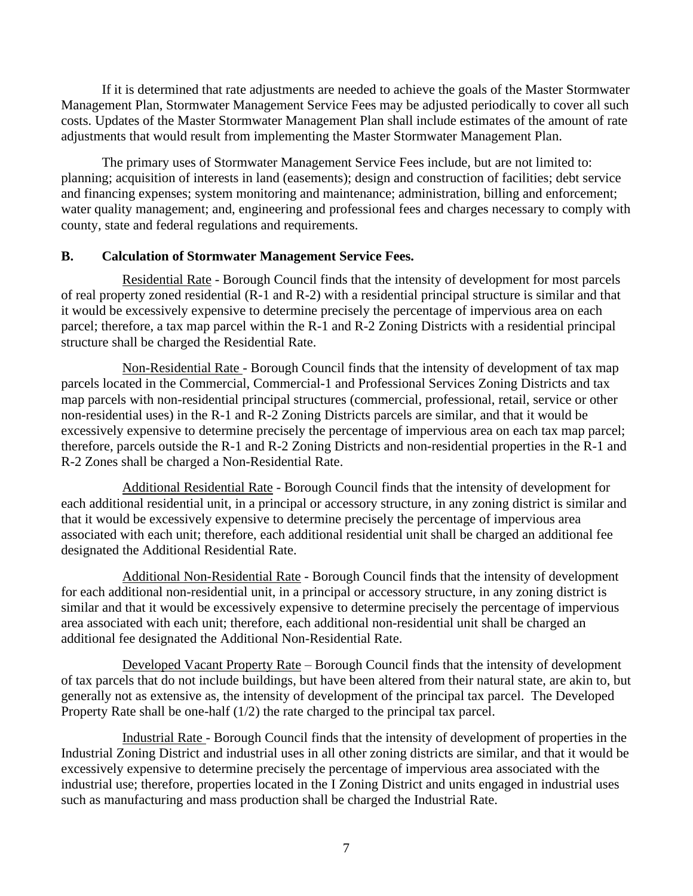If it is determined that rate adjustments are needed to achieve the goals of the Master Stormwater Management Plan, Stormwater Management Service Fees may be adjusted periodically to cover all such costs. Updates of the Master Stormwater Management Plan shall include estimates of the amount of rate adjustments that would result from implementing the Master Stormwater Management Plan.

The primary uses of Stormwater Management Service Fees include, but are not limited to: planning; acquisition of interests in land (easements); design and construction of facilities; debt service and financing expenses; system monitoring and maintenance; administration, billing and enforcement; water quality management; and, engineering and professional fees and charges necessary to comply with county, state and federal regulations and requirements.

## **B. Calculation of Stormwater Management Service Fees.**

Residential Rate - Borough Council finds that the intensity of development for most parcels of real property zoned residential (R-1 and R-2) with a residential principal structure is similar and that it would be excessively expensive to determine precisely the percentage of impervious area on each parcel; therefore, a tax map parcel within the R-1 and R-2 Zoning Districts with a residential principal structure shall be charged the Residential Rate.

Non-Residential Rate - Borough Council finds that the intensity of development of tax map parcels located in the Commercial, Commercial-1 and Professional Services Zoning Districts and tax map parcels with non-residential principal structures (commercial, professional, retail, service or other non-residential uses) in the R-1 and R-2 Zoning Districts parcels are similar, and that it would be excessively expensive to determine precisely the percentage of impervious area on each tax map parcel; therefore, parcels outside the R-1 and R-2 Zoning Districts and non-residential properties in the R-1 and R-2 Zones shall be charged a Non-Residential Rate.

Additional Residential Rate - Borough Council finds that the intensity of development for each additional residential unit, in a principal or accessory structure, in any zoning district is similar and that it would be excessively expensive to determine precisely the percentage of impervious area associated with each unit; therefore, each additional residential unit shall be charged an additional fee designated the Additional Residential Rate.

Additional Non-Residential Rate - Borough Council finds that the intensity of development for each additional non-residential unit, in a principal or accessory structure, in any zoning district is similar and that it would be excessively expensive to determine precisely the percentage of impervious area associated with each unit; therefore, each additional non-residential unit shall be charged an additional fee designated the Additional Non-Residential Rate.

Developed Vacant Property Rate – Borough Council finds that the intensity of development of tax parcels that do not include buildings, but have been altered from their natural state, are akin to, but generally not as extensive as, the intensity of development of the principal tax parcel. The Developed Property Rate shall be one-half (1/2) the rate charged to the principal tax parcel.

Industrial Rate - Borough Council finds that the intensity of development of properties in the Industrial Zoning District and industrial uses in all other zoning districts are similar, and that it would be excessively expensive to determine precisely the percentage of impervious area associated with the industrial use; therefore, properties located in the I Zoning District and units engaged in industrial uses such as manufacturing and mass production shall be charged the Industrial Rate.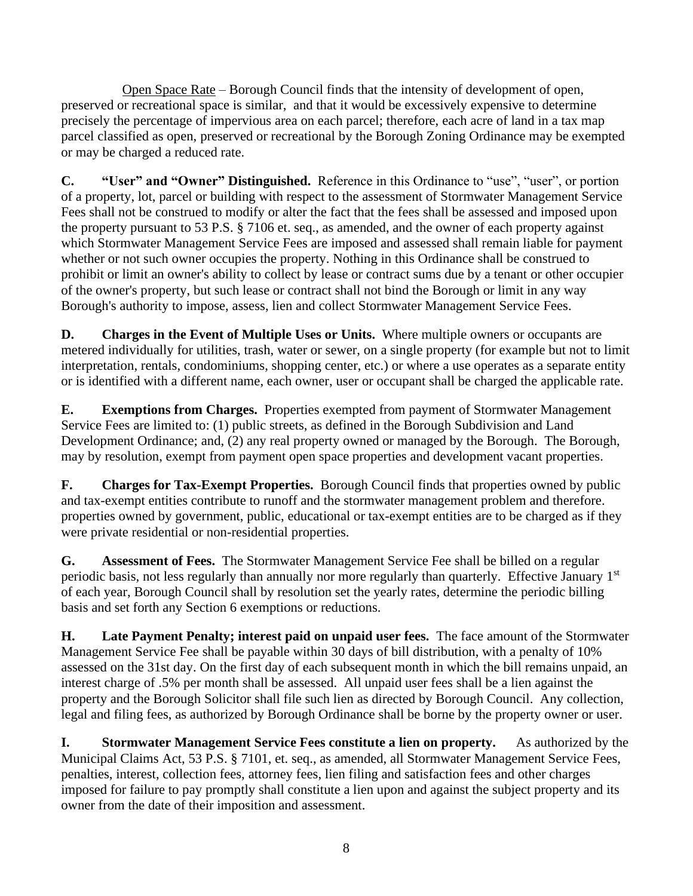Open Space Rate – Borough Council finds that the intensity of development of open, preserved or recreational space is similar, and that it would be excessively expensive to determine precisely the percentage of impervious area on each parcel; therefore, each acre of land in a tax map parcel classified as open, preserved or recreational by the Borough Zoning Ordinance may be exempted or may be charged a reduced rate.

**C. "User" and "Owner" Distinguished.** Reference in this Ordinance to "use", "user", or portion of a property, lot, parcel or building with respect to the assessment of Stormwater Management Service Fees shall not be construed to modify or alter the fact that the fees shall be assessed and imposed upon the property pursuant to 53 P.S. § 7106 et. seq., as amended, and the owner of each property against which Stormwater Management Service Fees are imposed and assessed shall remain liable for payment whether or not such owner occupies the property. Nothing in this Ordinance shall be construed to prohibit or limit an owner's ability to collect by lease or contract sums due by a tenant or other occupier of the owner's property, but such lease or contract shall not bind the Borough or limit in any way Borough's authority to impose, assess, lien and collect Stormwater Management Service Fees.

**D. Charges in the Event of Multiple Uses or Units.** Where multiple owners or occupants are metered individually for utilities, trash, water or sewer, on a single property (for example but not to limit interpretation, rentals, condominiums, shopping center, etc.) or where a use operates as a separate entity or is identified with a different name, each owner, user or occupant shall be charged the applicable rate.

**E. Exemptions from Charges.** Properties exempted from payment of Stormwater Management Service Fees are limited to: (1) public streets, as defined in the Borough Subdivision and Land Development Ordinance; and, (2) any real property owned or managed by the Borough. The Borough, may by resolution, exempt from payment open space properties and development vacant properties.

**F. Charges for Tax-Exempt Properties.** Borough Council finds that properties owned by public and tax-exempt entities contribute to runoff and the stormwater management problem and therefore. properties owned by government, public, educational or tax-exempt entities are to be charged as if they were private residential or non-residential properties.

**G. Assessment of Fees.** The Stormwater Management Service Fee shall be billed on a regular periodic basis, not less regularly than annually nor more regularly than quarterly. Effective January 1<sup>st</sup> of each year, Borough Council shall by resolution set the yearly rates, determine the periodic billing basis and set forth any Section 6 exemptions or reductions.

**H. Late Payment Penalty; interest paid on unpaid user fees.** The face amount of the Stormwater Management Service Fee shall be payable within 30 days of bill distribution, with a penalty of 10% assessed on the 31st day. On the first day of each subsequent month in which the bill remains unpaid, an interest charge of .5% per month shall be assessed. All unpaid user fees shall be a lien against the property and the Borough Solicitor shall file such lien as directed by Borough Council. Any collection, legal and filing fees, as authorized by Borough Ordinance shall be borne by the property owner or user.

**I. Stormwater Management Service Fees constitute a lien on property.** As authorized by the Municipal Claims Act, 53 P.S. § 7101, et. seq., as amended, all Stormwater Management Service Fees, penalties, interest, collection fees, attorney fees, lien filing and satisfaction fees and other charges imposed for failure to pay promptly shall constitute a lien upon and against the subject property and its owner from the date of their imposition and assessment.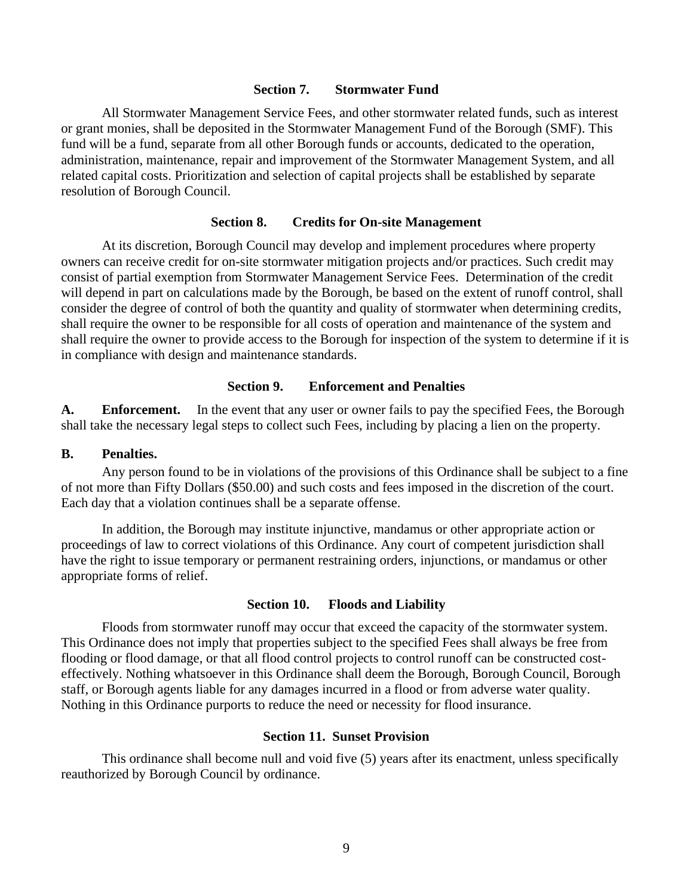#### **Section 7. Stormwater Fund**

All Stormwater Management Service Fees, and other stormwater related funds, such as interest or grant monies, shall be deposited in the Stormwater Management Fund of the Borough (SMF). This fund will be a fund, separate from all other Borough funds or accounts, dedicated to the operation, administration, maintenance, repair and improvement of the Stormwater Management System, and all related capital costs. Prioritization and selection of capital projects shall be established by separate resolution of Borough Council.

#### **Section 8. Credits for On-site Management**

At its discretion, Borough Council may develop and implement procedures where property owners can receive credit for on-site stormwater mitigation projects and/or practices. Such credit may consist of partial exemption from Stormwater Management Service Fees. Determination of the credit will depend in part on calculations made by the Borough, be based on the extent of runoff control, shall consider the degree of control of both the quantity and quality of stormwater when determining credits, shall require the owner to be responsible for all costs of operation and maintenance of the system and shall require the owner to provide access to the Borough for inspection of the system to determine if it is in compliance with design and maintenance standards.

#### **Section 9. Enforcement and Penalties**

**A. Enforcement.** In the event that any user or owner fails to pay the specified Fees, the Borough shall take the necessary legal steps to collect such Fees, including by placing a lien on the property.

#### **B. Penalties.**

Any person found to be in violations of the provisions of this Ordinance shall be subject to a fine of not more than Fifty Dollars (\$50.00) and such costs and fees imposed in the discretion of the court. Each day that a violation continues shall be a separate offense.

In addition, the Borough may institute injunctive, mandamus or other appropriate action or proceedings of law to correct violations of this Ordinance. Any court of competent jurisdiction shall have the right to issue temporary or permanent restraining orders, injunctions, or mandamus or other appropriate forms of relief.

#### **Section 10. Floods and Liability**

Floods from stormwater runoff may occur that exceed the capacity of the stormwater system. This Ordinance does not imply that properties subject to the specified Fees shall always be free from flooding or flood damage, or that all flood control projects to control runoff can be constructed costeffectively. Nothing whatsoever in this Ordinance shall deem the Borough, Borough Council, Borough staff, or Borough agents liable for any damages incurred in a flood or from adverse water quality. Nothing in this Ordinance purports to reduce the need or necessity for flood insurance.

## **Section 11. Sunset Provision**

This ordinance shall become null and void five (5) years after its enactment, unless specifically reauthorized by Borough Council by ordinance.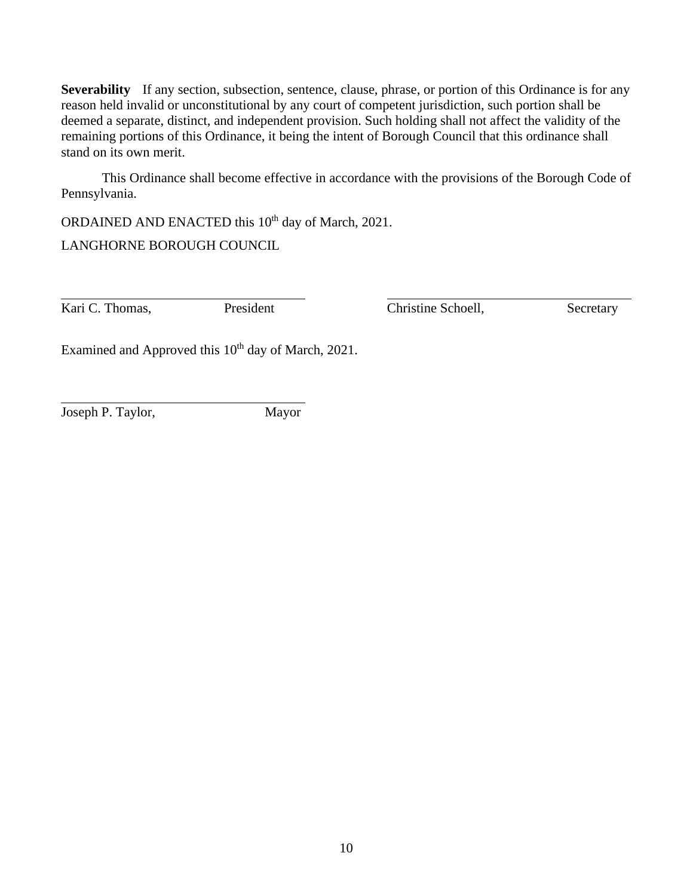**Severability** If any section, subsection, sentence, clause, phrase, or portion of this Ordinance is for any reason held invalid or unconstitutional by any court of competent jurisdiction, such portion shall be deemed a separate, distinct, and independent provision. Such holding shall not affect the validity of the remaining portions of this Ordinance, it being the intent of Borough Council that this ordinance shall stand on its own merit.

This Ordinance shall become effective in accordance with the provisions of the Borough Code of Pennsylvania.

ORDAINED AND ENACTED this 10<sup>th</sup> day of March, 2021.

LANGHORNE BOROUGH COUNCIL

Kari C. Thomas, President Christine Schoell, Secretary

Examined and Approved this 10<sup>th</sup> day of March, 2021.

Joseph P. Taylor, Mayor